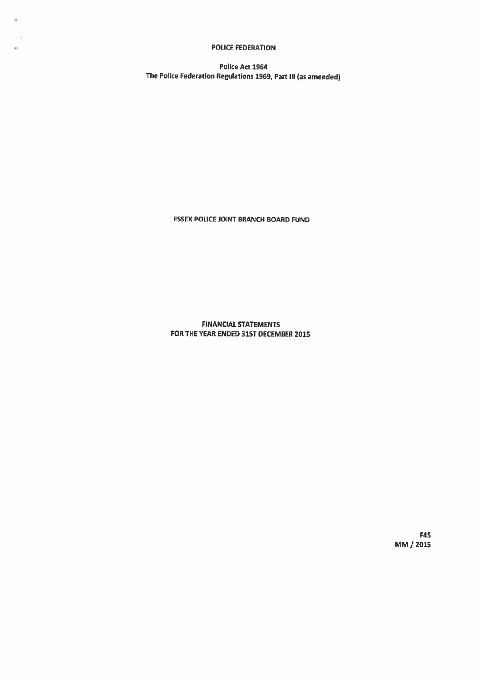### POLICE FEDERATION

 $\mathcal{H}$ 

h.

Police Act 1964 The Police Federation Regulations 1969, Part III (as amended)

ESSEX POUCE JOINT BRANCH BOARD FUND

FINANCIAl. STATEMENTS FOR THE YEAR ENDED 31ST DECEMBER 2015

> F45 MM / 2015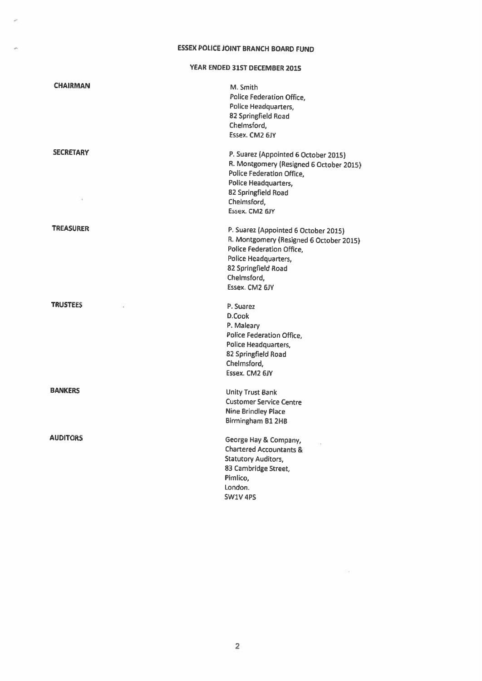### ESSEX POLICE JOINT BRANCH BOARD FUND

YEAR ENDED 3151 DECEMBER 2015

| <b>CHAIRMAN</b>  | M. Smith<br>Police Federation Office,<br>Police Headquarters,<br>82 Springfield Road<br>Chelmsford,<br>Essex. CM2 6JY                                                                                      |
|------------------|------------------------------------------------------------------------------------------------------------------------------------------------------------------------------------------------------------|
| <b>SECRETARY</b> | P. Suarez (Appointed 6 October 2015)<br>R. Montgomery (Resigned 6 October 2015)<br><b>Police Federation Office,</b><br>Police Headquarters,<br>82 Springfield Road<br>Chelmsford,<br>Essex. CM2 6JY        |
| <b>TREASURER</b> | P. Suarez (Appointed 6 October 2015)<br>R. Montgomery (Resigned 6 October 2015)<br><b>Police Federation Office,</b><br><b>Police Headquarters,</b><br>82 Springfield Road<br>Chelmsford,<br>Essex, CM2 6JY |
| <b>TRUSTEES</b>  | P. Suarez<br>D.Cook<br>P. Maleary<br>Police Federation Office,<br>Police Headquarters,<br>82 Springfield Road<br>Chelmsford,<br>Essex. CM2 6JY                                                             |
| <b>BANKERS</b>   | <b>Unity Trust Bank</b><br><b>Customer Service Centre</b><br><b>Nine Brindley Place</b><br>Birmingham B1 2HB                                                                                               |
| AUDITORS         | George Hay & Company,<br><b>Chartered Accountants &amp;</b><br><b>Statutory Auditors,</b><br>83 Cambridge Street,<br>Pimlico,<br>London.<br>SW1V 4PS                                                       |

 $\tilde{\Sigma}$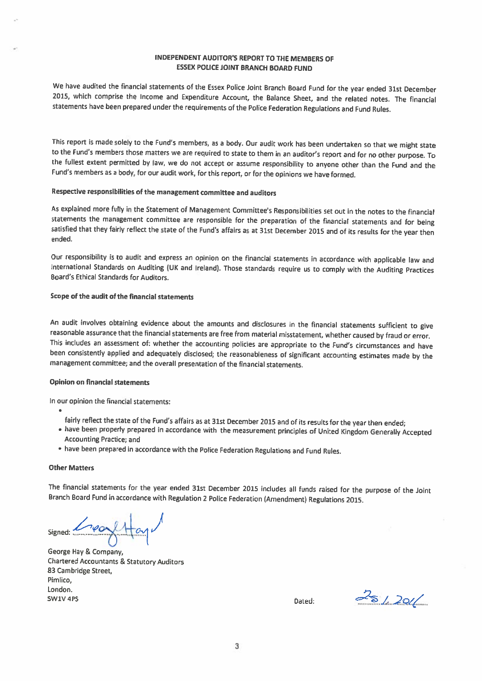### INDEPENDENT AUDITOR'S REPORT TO THE MEMBERS OF ESSEX POLICE JOINT BRANCH BOARD FUND

We have audited the financial statements of the Essex Police Joint Branch Board Fund for the year ended 31st December 2015, which comprise the Income and Expenditure Account, the Balance Sheet, and the related notes. The financial statements have been prepared under the requirements of the Police Federation Regulations and Fund Rules.

This report is made solely to the Fund's members, as a body. Our audit work has been undertaken so that we might state<br>to the Fund's members those matters we are required to state to them in an auditor's report and for no the fullest extent permitted by law, we do not accept or assume responsibility to anyone other than the Fund and the Fund's members as <sup>a</sup> body, for our audit work, for this report, or for the opinions we have formed.

### Respective responsibilities of the management committee and auditors

As explained more fully in the Statement of Management Committee's Responsibilities set out in the notes to the financial<br>statements the management committee are responsible for the preparation of the financial statements satisfied that they fairly reflect the state of the Fund's affairs as at 31st December 2015 and of its results for the year then ended.

Our responsibility is to audit and express an opinion on the financial statements in accordance with applicable law and International Standards on Auditing (UK and Ireland). Those standards require us to comply with the Auditing Practices Board's Ethical Standards for Auditors.

### Scope of the audit of the financial statements

An audit involves obtaining evidence about the amounts and disclosures in the financial statements sufficient to give<br>reasonable assurance that the financial statements are free from material misstatement, whether caused b This includes an assessment of: whether the accounting policies are appropriate to the Fund's circumstances and have been consistently applied and adequately disclosed; the reasonableness of significant accounting estimates made by the management committee; and the overall presentation of the financial statements.

### Opinion on financial statements

In our opinion the financial statements:

- - fairly reflect the state of the Fund's affairs as at 31st December <sup>2015</sup> and of its results for the year then ended;
- have been properly prepared in accordance with the measurement principles of United Kingdom Generally Accepted Accounting Practice; and
- have been prepared in accordance with the Police Federation Regulations and Fund Rules.

#### Other Matters

The financial statements for the year ended 31st December <sup>2015</sup> includes all funds raised for the purpose of the Joint Branch Board Fund in accordance with Regulation <sup>2</sup> Police Federation (Amendment) Regulations 2015.

 $Signed: 1$ 

George Hay & Company, Chartered Accountants & Statutory Auditors 83 Cambridge Street, Pimlico, London. SW1V4PS Dated: D!LL..JQ//'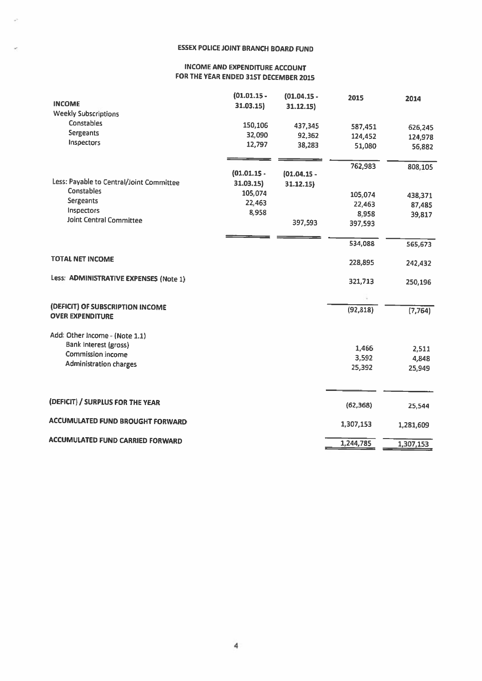### ESSEX POLICE JOINT BRANCH BOARD FUND

L.

### INCOME AND EXPENDITURE ACCOUNT FOR THE YEAR ENDED 31ST DECEMBER 2015

|                                                             | $(01.01.15 -$ | $(01.04.15 -$ | 2015      | 2014      |
|-------------------------------------------------------------|---------------|---------------|-----------|-----------|
| <b>INCOME</b>                                               | 31.03.15)     | 31.12.15)     |           |           |
| <b>Weekly Subscriptions</b>                                 |               |               |           |           |
| Constables                                                  | 150,106       | 437,345       | 587,451   | 626,245   |
| Sergeants                                                   | 32,090        | 92,362        | 124,452   | 124,978   |
| Inspectors                                                  | 12,797        | 38,283        | 51,080    | 56,882    |
|                                                             |               |               | 762,983   | 808,105   |
|                                                             | $(01.01.15 -$ | $(01.04.15 -$ |           |           |
| Less: Payable to Central/Joint Committee                    | 31.03.15      | 31.12.15      |           |           |
| Constables                                                  | 105,074       |               | 105,074   | 438,371   |
| Sergeants                                                   | 22,463        |               | 22,463    | 87,485    |
| Inspectors                                                  | 8,958         |               | 8,958     | 39,817    |
| <b>Joint Central Committee</b>                              |               | 397,593       | 397,593   |           |
|                                                             |               |               | 534,088   | 565,673   |
| <b>TOTAL NET INCOME</b>                                     |               |               | 228,895   | 242,432   |
| Less: ADMINISTRATIVE EXPENSES (Note 1)                      |               |               | 321,713   | 250,196   |
|                                                             |               |               |           |           |
| (DEFICIT) OF SUBSCRIPTION INCOME<br><b>OVER EXPENDITURE</b> |               |               | (92, 818) | (7, 764)  |
| Add: Other Income - (Note 1.1)                              |               |               |           |           |
| Bank Interest (gross)                                       |               |               | 1,466     | 2,511     |
| <b>Commission income</b>                                    |               |               | 3,592     | 4,848     |
| <b>Administration charges</b>                               |               |               | 25,392    | 25,949    |
|                                                             |               |               |           |           |
| (DEFICIT) / SURPLUS FOR THE YEAR                            |               |               | (62, 368) | 25,544    |
| <b>ACCUMULATED FUND BROUGHT FORWARD</b>                     |               |               | 1,307,153 | 1,281,609 |
| <b>ACCUMULATED FUND CARRIED FORWARD</b>                     |               |               | 1,244,785 | 1,307,153 |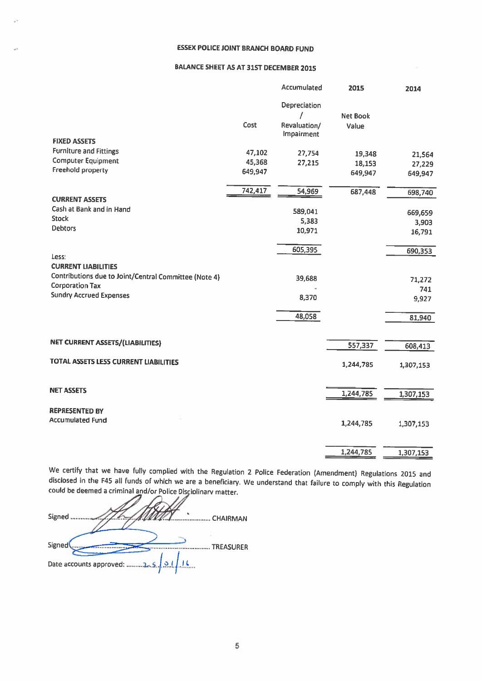### ESSEX POLICE JOINT BRANCH BOARD FUND

### BALANCE SHEET AS AT 31ST DECEMBER 2015

|                                                       |         | Accumulated  | 2015            | 2014      |
|-------------------------------------------------------|---------|--------------|-----------------|-----------|
|                                                       |         | Depreciation |                 |           |
|                                                       |         |              | <b>Net Book</b> |           |
|                                                       | Cost    | Revaluation/ | Value           |           |
| <b>FIXED ASSETS</b>                                   |         | Impairment   |                 |           |
| <b>Furniture and Fittings</b>                         |         |              |                 |           |
| <b>Computer Equipment</b>                             | 47,102  | 27,754       | 19,348          | 21,564    |
| Freehold property                                     | 45,368  | 27,215       | 18,153          | 27,229    |
|                                                       | 649,947 |              | 649,947         | 649,947   |
|                                                       | 742,417 | 54,969       | 687,448         | 698,740   |
| <b>CURRENT ASSETS</b>                                 |         |              |                 |           |
| Cash at Bank and in Hand                              |         | 589,041      |                 | 669,659   |
| <b>Stock</b>                                          |         | 5,383        |                 | 3,903     |
| <b>Debtors</b>                                        |         | 10,971       |                 | 16,791    |
|                                                       |         |              |                 |           |
|                                                       |         | 605,395      |                 | 690,353   |
| Less:<br><b>CURRENT LIABILITIES</b>                   |         |              |                 |           |
| Contributions due to Joint/Central Committee (Note 4) |         |              |                 |           |
| <b>Corporation Tax</b>                                |         | 39,688       |                 | 71,272    |
| <b>Sundry Accrued Expenses</b>                        |         | 8,370        |                 | 741       |
|                                                       |         |              |                 | 9,927     |
|                                                       |         | 48,058       |                 | 81,940    |
|                                                       |         |              |                 |           |
| <b>NET CURRENT ASSETS/(LIABILITIES)</b>               |         |              |                 |           |
|                                                       |         |              | 557,337         | 608,413   |
| TOTAL ASSETS LESS CURRENT LIABILITIES                 |         |              |                 |           |
|                                                       |         |              | 1,244,785       | 1,307,153 |
|                                                       |         |              |                 |           |
| <b>NET ASSETS</b>                                     |         |              | 1,244,785       | 1,307,153 |
|                                                       |         |              |                 |           |
| <b>REPRESENTED BY</b>                                 |         |              |                 |           |
| <b>Accumulated Fund</b>                               |         |              | 1,244,785       | 1,307,153 |
|                                                       |         |              |                 |           |
|                                                       |         |              |                 |           |
|                                                       |         |              | 1,244,785       | 1,307,153 |

We certify that we have fully complied with the Regulation 2 Police Federation (Amendment) Regulations 2015 and disclosed in the F45 all funds of which we are a beneficiary. We understand that failure to comply with this R

| Signed<br><b>CHAIRMAN</b>           |
|-------------------------------------|
| Signed<br><b>TREASURER</b>          |
| 25/01/16<br>Date accounts approved: |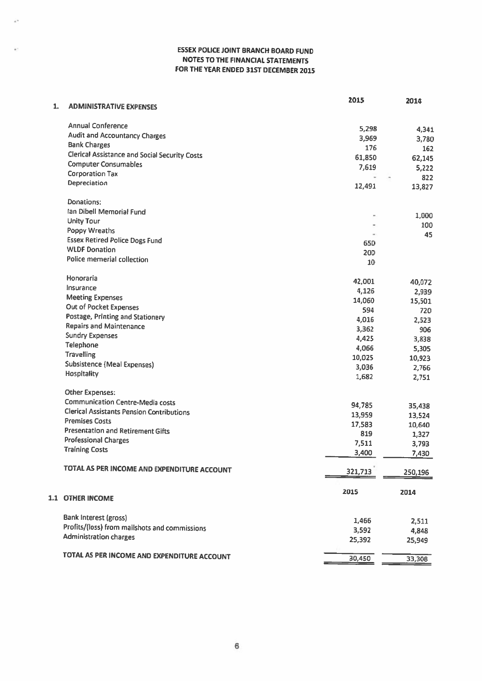### ESSEX POLICE JOINT BRANCH BOARD FUND NOTES TO THE FINANCIAL STATEMENTS FOR THE YEAR ENDED 31ST DECEMBER 2015

ý,

ç.

| 1. | <b>ADMINISTRATIVE EXPENSES</b>                       | 2015           | 2014    |
|----|------------------------------------------------------|----------------|---------|
|    |                                                      |                |         |
|    | <b>Annual Conference</b>                             | 5,298          | 4,341   |
|    | <b>Audit and Accountancy Charges</b>                 | 3,969          | 3,780   |
|    | <b>Bank Charges</b>                                  | 176            | 162     |
|    | <b>Clerical Assistance and Social Security Costs</b> | 61,850         | 62,145  |
|    | <b>Computer Consumables</b>                          | 7,619          | 5,222   |
|    | <b>Corporation Tax</b>                               | $\sim$         | 822     |
|    | Depreciation                                         | 12,491         | 13,827  |
|    |                                                      |                |         |
|    | Donations:                                           |                |         |
|    | Ian Dibell Memorial Fund                             |                | 1,000   |
|    | <b>Unity Tour</b>                                    |                | 100     |
|    | Poppy Wreaths                                        |                | 45      |
|    | <b>Essex Retired Police Dogs Fund</b>                | 650            |         |
|    | <b>WLDF Donation</b>                                 | 200            |         |
|    | Police memerial collection                           | 10             |         |
|    |                                                      |                |         |
|    | Honoraria                                            | 42,001         | 40,072  |
|    | Insurance                                            | 4,126          | 2,939   |
|    | <b>Meeting Expenses</b>                              | 14,060         | 15,501  |
|    | Out of Pocket Expenses                               | 594            | 720     |
|    | Postage, Printing and Stationery                     | 4,016          | 2,523   |
|    | <b>Repairs and Maintenance</b>                       | 3,362          | 906     |
|    | <b>Sundry Expenses</b>                               | 4,425          | 3,838   |
|    | Telephone                                            | 4,066          | 5,305   |
|    | <b>Travelling</b>                                    | 10,025         | 10,923  |
|    | <b>Subsistence (Meal Expenses)</b>                   | 3,036          | 2,766   |
|    | Hospitality                                          | 1,682          | 2,751   |
|    | <b>Other Expenses:</b>                               |                |         |
|    | <b>Communication Centre-Media costs</b>              |                |         |
|    | <b>Clerical Assistants Pension Contributions</b>     | 94,785         | 35,438  |
|    | <b>Premises Costs</b>                                | 13,959         | 13,524  |
|    | <b>Presentation and Retirement Gifts</b>             | 17,583         | 10,640  |
|    | <b>Professional Charges</b>                          | 819            | 1,327   |
|    | <b>Training Costs</b>                                | 7,511<br>3,400 | 3,793   |
|    |                                                      |                | 7,430   |
|    | TOTAL AS PER INCOME AND EXPENDITURE ACCOUNT          | 321,713        | 250,196 |
|    |                                                      |                |         |
|    |                                                      | 2015           | 2014    |
|    | <b>L1 OTHER INCOME</b>                               |                |         |
|    | <b>Bank Interest (gross)</b>                         | 1,466          | 2,511   |
|    | Profits/(loss) from mailshots and commissions        | 3,592          | 4,848   |
|    | <b>Administration charges</b>                        | 25,392         | 25,949  |
|    |                                                      |                |         |
|    | TOTAL AS PER INCOME AND EXPENDITURE ACCOUNT          | 30,450         | 33,308  |
|    |                                                      |                |         |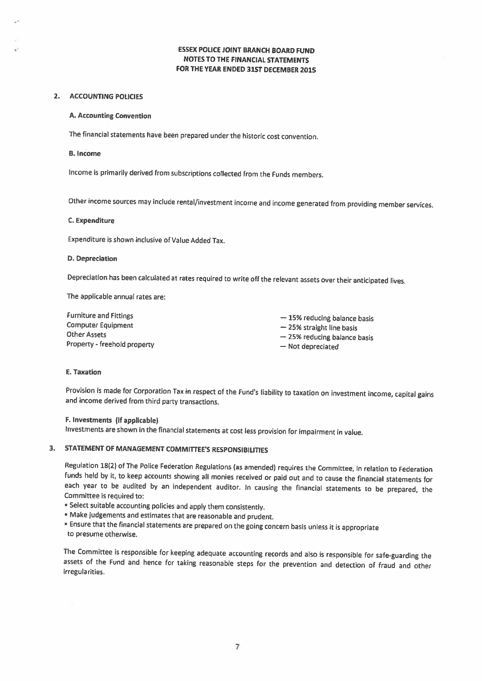### ESSEX POLICE JOINT BRANCH BOARD FUND NOTES TO THE FINANCIAL STATEMENTS FOR THE YEAR ENDED 31ST DECEMBER 2015

### 2. ACCOUNTING POLICIES

### A. Accounting Convention

The financial statements have been prepared under the historic cost convention.

#### B. Income

Income is primarily derived from subscriptions collected from the Funds members.

Other income sources may include rental/investment income and income generated from providing member services.

#### C. Expenditure

Expenditure is shown inclusive of Value Added Tax.

#### D. Depreciation

Depreciation has been calculated at rates required to write off the relevant assets over their anticipated lives.

The applicable annual rates are:

| <b>Furniture and Fittings</b> | $-15%$ reducing balance basis |
|-------------------------------|-------------------------------|
| <b>Computer Equipment</b>     | $-25%$ straight line basis    |
| <b>Other Assets</b>           | $-25%$ reducing balance basis |
| Property - freehold property  | - Not depreciated             |

#### E. Taxation

Provision is made for Corporation Tax in respect of the Fund's liability to taxation on investment income, capital gains and income derived from third party transactions.

### F. Investments (if applicable)

Investments are shown in the financial statements at cost less provision for impairment in value.

### 3. STATEMENT OF MANAGEMENT COMMITTEE'S RESPONSIBILITIES

Regulation 18(2) of The Police Federation Regulations (as amended) requires the Committee, in relation to Federation funds held by it, to keep accounts showing all monies received or paid out and to cause the financial statements for each year to be audited by an independent auditor. In causing the financial statements to be prepared, the Committee is required to:

- Select suitable accounting policies and apply them consistently.
- Make judgements and estimates that are reasonable and prudent.
- Ensure that the financial statements are prepared on the going concern basis unless it is appropriate to presume otherwise.

The Committee is responsible for keeping adequate accounting records and also is responsible for safe-guarding the assets of the Fund and hence for taking reasonable steps for the prevention and detection of fraud and other irregularities.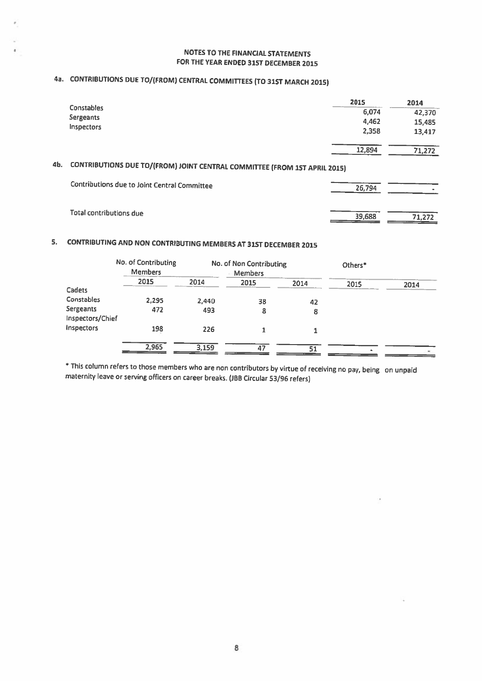### NOTES TO THE FINANCIAL STATEMENTS FOR THE YEAR ENDED 31ST DECEMBER 2015

# 4a. CONTRIBUTIONS DUE TO/(FROM) CENTRAL COMMITtEES (TO 31ST MARCH 2015)

|                                                                                  |                                              | 2015   | 2014   |
|----------------------------------------------------------------------------------|----------------------------------------------|--------|--------|
|                                                                                  | <b>Constables</b>                            | 6,074  | 42,370 |
|                                                                                  | Sergeants                                    | 4,462  | 15,485 |
|                                                                                  | Inspectors                                   | 2,358  | 13,417 |
|                                                                                  |                                              | 12,894 | 71,272 |
| 4Ь.<br>CONTRIBUTIONS DUE TO/(FROM) JOINT CENTRAL COMMITTEE (FROM 15T APRIL 2015) |                                              |        |        |
|                                                                                  | Contributions due to Joint Central Committee | 26,794 |        |
|                                                                                  | Total contributions due                      | 39,688 | 71.272 |

## 5. CONTRIBUTING AND NON CONTRIBUTING MEMBERS AT 31ST DECEMBER <sup>2015</sup>

|                                      | No. of Contributing<br><b>Members</b> |       | No. of Non Contributing<br>Members |      | Others* |      |
|--------------------------------------|---------------------------------------|-------|------------------------------------|------|---------|------|
|                                      | 2015                                  | 2014  | 2015                               | 2014 | 2015    | 2014 |
| Cadets                               |                                       |       |                                    |      |         |      |
| Constables                           | 2,295                                 | 2,440 | 38                                 | 42   |         |      |
| <b>Sergeants</b><br>Inspectors/Chief | 472                                   | 493   | 8                                  | 8    |         |      |
| Inspectors                           | 198                                   | 226   |                                    |      |         |      |
|                                      | 2,965                                 | 3.159 | 47                                 | 51   |         |      |

'This column refers to those members who are non contributors by virtue of receiving no pay, being on unpaid maternity leave or serving officers on career breaks. (JBB Circular 53/96 refers)